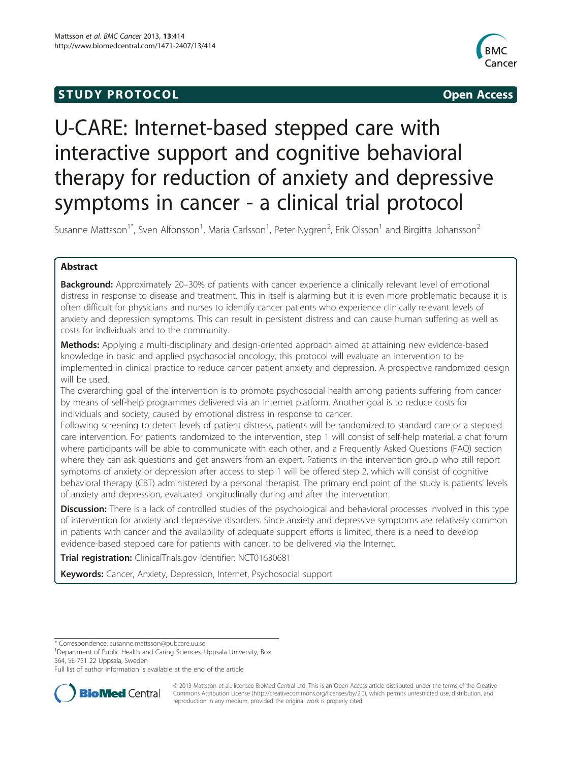## **STUDY PROTOCOL CONSUMING THE STUDY PROTOCOL**



# U-CARE: Internet-based stepped care with interactive support and cognitive behavioral therapy for reduction of anxiety and depressive symptoms in cancer - a clinical trial protocol

Susanne Mattsson<sup>1\*</sup>, Sven Alfonsson<sup>1</sup>, Maria Carlsson<sup>1</sup>, Peter Nygren<sup>2</sup>, Erik Olsson<sup>1</sup> and Birgitta Johansson<sup>2</sup>

## Abstract

Background: Approximately 20-30% of patients with cancer experience a clinically relevant level of emotional distress in response to disease and treatment. This in itself is alarming but it is even more problematic because it is often difficult for physicians and nurses to identify cancer patients who experience clinically relevant levels of anxiety and depression symptoms. This can result in persistent distress and can cause human suffering as well as costs for individuals and to the community.

Methods: Applying a multi-disciplinary and design-oriented approach aimed at attaining new evidence-based knowledge in basic and applied psychosocial oncology, this protocol will evaluate an intervention to be implemented in clinical practice to reduce cancer patient anxiety and depression. A prospective randomized design will be used.

The overarching goal of the intervention is to promote psychosocial health among patients suffering from cancer by means of self-help programmes delivered via an Internet platform. Another goal is to reduce costs for individuals and society, caused by emotional distress in response to cancer.

Following screening to detect levels of patient distress, patients will be randomized to standard care or a stepped care intervention. For patients randomized to the intervention, step 1 will consist of self-help material, a chat forum where participants will be able to communicate with each other, and a Frequently Asked Questions (FAQ) section where they can ask questions and get answers from an expert. Patients in the intervention group who still report symptoms of anxiety or depression after access to step 1 will be offered step 2, which will consist of cognitive behavioral therapy (CBT) administered by a personal therapist. The primary end point of the study is patients' levels of anxiety and depression, evaluated longitudinally during and after the intervention.

**Discussion:** There is a lack of controlled studies of the psychological and behavioral processes involved in this type of intervention for anxiety and depressive disorders. Since anxiety and depressive symptoms are relatively common in patients with cancer and the availability of adequate support efforts is limited, there is a need to develop evidence-based stepped care for patients with cancer, to be delivered via the Internet.

Trial registration: ClinicalTrials.gov Identifier: [NCT01630681](http://www.clinicaltrials.gov/NCT01630681)

Keywords: Cancer, Anxiety, Depression, Internet, Psychosocial support

\* Correspondence: [susanne.mattsson@pubcare.uu.se](mailto:susanne.mattsson@pubcare.uu.se) <sup>1</sup>

<sup>1</sup>Department of Public Health and Caring Sciences, Uppsala University, Box 564, SE-751 22 Uppsala, Sweden

Full list of author information is available at the end of the article



© 2013 Mattsson et al.; licensee BioMed Central Ltd. This is an Open Access article distributed under the terms of the Creative Commons Attribution License [\(http://creativecommons.org/licenses/by/2.0\)](http://creativecommons.org/licenses/by/2.0), which permits unrestricted use, distribution, and reproduction in any medium, provided the original work is properly cited.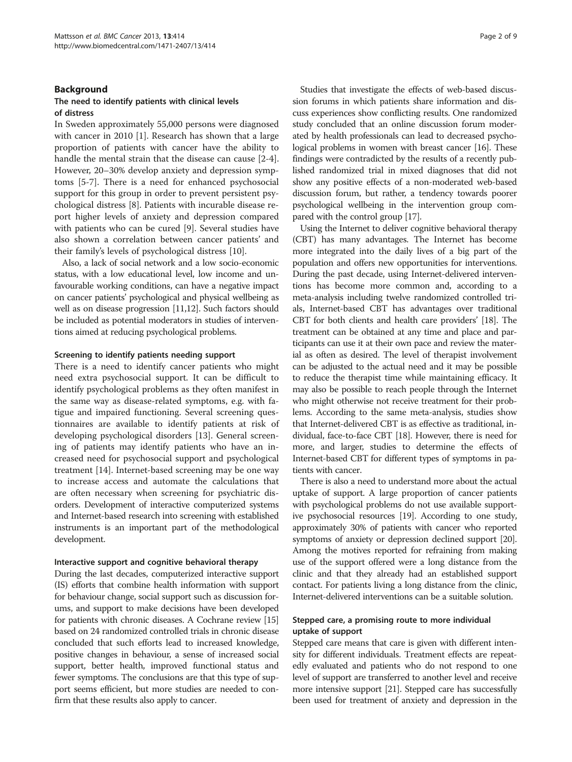## Background

## The need to identify patients with clinical levels of distress

In Sweden approximately 55,000 persons were diagnosed with cancer in 2010 [[1\]](#page-7-0). Research has shown that a large proportion of patients with cancer have the ability to handle the mental strain that the disease can cause [[2-4](#page-7-0)]. However, 20–30% develop anxiety and depression symptoms [[5-7\]](#page-7-0). There is a need for enhanced psychosocial support for this group in order to prevent persistent psychological distress [\[8](#page-7-0)]. Patients with incurable disease report higher levels of anxiety and depression compared with patients who can be cured [\[9](#page-7-0)]. Several studies have also shown a correlation between cancer patients' and their family's levels of psychological distress [[10\]](#page-7-0).

Also, a lack of social network and a low socio-economic status, with a low educational level, low income and unfavourable working conditions, can have a negative impact on cancer patients' psychological and physical wellbeing as well as on disease progression [[11,12\]](#page-7-0). Such factors should be included as potential moderators in studies of interventions aimed at reducing psychological problems.

#### Screening to identify patients needing support

There is a need to identify cancer patients who might need extra psychosocial support. It can be difficult to identify psychological problems as they often manifest in the same way as disease-related symptoms, e.g. with fatigue and impaired functioning. Several screening questionnaires are available to identify patients at risk of developing psychological disorders [[13](#page-7-0)]. General screening of patients may identify patients who have an increased need for psychosocial support and psychological treatment [[14\]](#page-7-0). Internet-based screening may be one way to increase access and automate the calculations that are often necessary when screening for psychiatric disorders. Development of interactive computerized systems and Internet-based research into screening with established instruments is an important part of the methodological development.

#### Interactive support and cognitive behavioral therapy

During the last decades, computerized interactive support (IS) efforts that combine health information with support for behaviour change, social support such as discussion forums, and support to make decisions have been developed for patients with chronic diseases. A Cochrane review [[15](#page-7-0)] based on 24 randomized controlled trials in chronic disease concluded that such efforts lead to increased knowledge, positive changes in behaviour, a sense of increased social support, better health, improved functional status and fewer symptoms. The conclusions are that this type of support seems efficient, but more studies are needed to confirm that these results also apply to cancer.

Studies that investigate the effects of web-based discussion forums in which patients share information and discuss experiences show conflicting results. One randomized study concluded that an online discussion forum moderated by health professionals can lead to decreased psychological problems in women with breast cancer [\[16](#page-7-0)]. These findings were contradicted by the results of a recently published randomized trial in mixed diagnoses that did not show any positive effects of a non-moderated web-based discussion forum, but rather, a tendency towards poorer psychological wellbeing in the intervention group compared with the control group [[17](#page-8-0)].

Using the Internet to deliver cognitive behavioral therapy (CBT) has many advantages. The Internet has become more integrated into the daily lives of a big part of the population and offers new opportunities for interventions. During the past decade, using Internet-delivered interventions has become more common and, according to a meta-analysis including twelve randomized controlled trials, Internet-based CBT has advantages over traditional CBT for both clients and health care providers' [\[18\]](#page-8-0). The treatment can be obtained at any time and place and participants can use it at their own pace and review the material as often as desired. The level of therapist involvement can be adjusted to the actual need and it may be possible to reduce the therapist time while maintaining efficacy. It may also be possible to reach people through the Internet who might otherwise not receive treatment for their problems. According to the same meta-analysis, studies show that Internet-delivered CBT is as effective as traditional, individual, face-to-face CBT [[18](#page-8-0)]. However, there is need for more, and larger, studies to determine the effects of Internet-based CBT for different types of symptoms in patients with cancer.

There is also a need to understand more about the actual uptake of support. A large proportion of cancer patients with psychological problems do not use available supportive psychosocial resources [\[19](#page-8-0)]. According to one study, approximately 30% of patients with cancer who reported symptoms of anxiety or depression declined support [\[20](#page-8-0)]. Among the motives reported for refraining from making use of the support offered were a long distance from the clinic and that they already had an established support contact. For patients living a long distance from the clinic, Internet-delivered interventions can be a suitable solution.

## Stepped care, a promising route to more individual uptake of support

Stepped care means that care is given with different intensity for different individuals. Treatment effects are repeatedly evaluated and patients who do not respond to one level of support are transferred to another level and receive more intensive support [[21](#page-8-0)]. Stepped care has successfully been used for treatment of anxiety and depression in the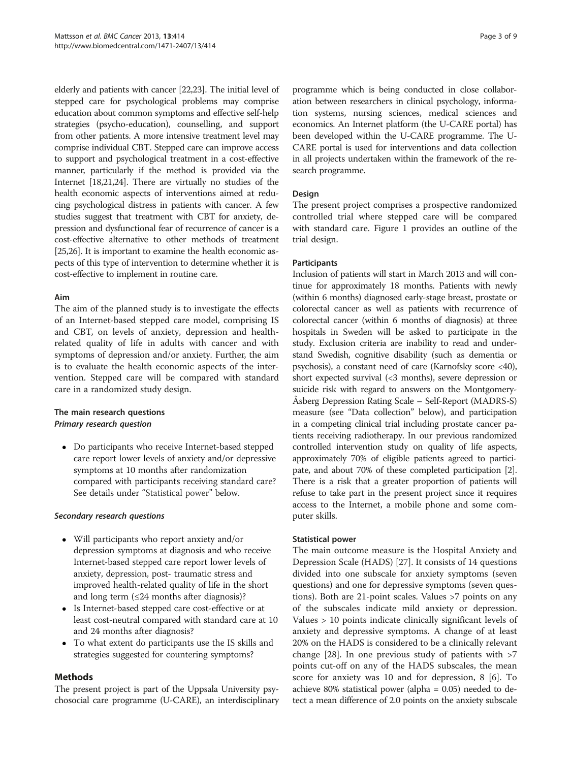elderly and patients with cancer [\[22,23](#page-8-0)]. The initial level of stepped care for psychological problems may comprise education about common symptoms and effective self-help strategies (psycho-education), counselling, and support from other patients. A more intensive treatment level may comprise individual CBT. Stepped care can improve access to support and psychological treatment in a cost-effective manner, particularly if the method is provided via the Internet [\[18,21,24\]](#page-8-0). There are virtually no studies of the health economic aspects of interventions aimed at reducing psychological distress in patients with cancer. A few studies suggest that treatment with CBT for anxiety, depression and dysfunctional fear of recurrence of cancer is a cost-effective alternative to other methods of treatment [[25,26\]](#page-8-0). It is important to examine the health economic aspects of this type of intervention to determine whether it is cost-effective to implement in routine care.

## Aim

The aim of the planned study is to investigate the effects of an Internet-based stepped care model, comprising IS and CBT, on levels of anxiety, depression and healthrelated quality of life in adults with cancer and with symptoms of depression and/or anxiety. Further, the aim is to evaluate the health economic aspects of the intervention. Stepped care will be compared with standard care in a randomized study design.

## The main research questions Primary research question

 Do participants who receive Internet-based stepped care report lower levels of anxiety and/or depressive symptoms at 10 months after randomization compared with participants receiving standard care? See details under "Statistical power" below.

## Secondary research questions

- Will participants who report anxiety and/or depression symptoms at diagnosis and who receive Internet-based stepped care report lower levels of anxiety, depression, post- traumatic stress and improved health-related quality of life in the short and long term  $(\leq 24$  months after diagnosis)?
- Is Internet-based stepped care cost-effective or at least cost-neutral compared with standard care at 10 and 24 months after diagnosis?
- To what extent do participants use the IS skills and strategies suggested for countering symptoms?

## Methods

The present project is part of the Uppsala University psychosocial care programme (U-CARE), an interdisciplinary programme which is being conducted in close collaboration between researchers in clinical psychology, information systems, nursing sciences, medical sciences and economics. An Internet platform (the U-CARE portal) has been developed within the U-CARE programme. The U-CARE portal is used for interventions and data collection in all projects undertaken within the framework of the research programme.

## Design

The present project comprises a prospective randomized controlled trial where stepped care will be compared with standard care. Figure [1](#page-3-0) provides an outline of the trial design.

## **Participants**

Inclusion of patients will start in March 2013 and will continue for approximately 18 months. Patients with newly (within 6 months) diagnosed early-stage breast, prostate or colorectal cancer as well as patients with recurrence of colorectal cancer (within 6 months of diagnosis) at three hospitals in Sweden will be asked to participate in the study. Exclusion criteria are inability to read and understand Swedish, cognitive disability (such as dementia or psychosis), a constant need of care (Karnofsky score <40), short expected survival (<3 months), severe depression or suicide risk with regard to answers on the Montgomery-Åsberg Depression Rating Scale – Self-Report (MADRS-S) measure (see "[Data collection](#page-4-0)" below), and participation in a competing clinical trial including prostate cancer patients receiving radiotherapy. In our previous randomized controlled intervention study on quality of life aspects, approximately 70% of eligible patients agreed to participate, and about 70% of these completed participation [[2](#page-7-0)]. There is a risk that a greater proportion of patients will refuse to take part in the present project since it requires access to the Internet, a mobile phone and some computer skills.

## Statistical power

The main outcome measure is the Hospital Anxiety and Depression Scale (HADS) [\[27](#page-8-0)]. It consists of 14 questions divided into one subscale for anxiety symptoms (seven questions) and one for depressive symptoms (seven questions). Both are 21-point scales. Values >7 points on any of the subscales indicate mild anxiety or depression. Values > 10 points indicate clinically significant levels of anxiety and depressive symptoms. A change of at least 20% on the HADS is considered to be a clinically relevant change [[28\]](#page-8-0). In one previous study of patients with  $>7$ points cut-off on any of the HADS subscales, the mean score for anxiety was 10 and for depression, 8 [\[6](#page-7-0)]. To achieve 80% statistical power (alpha = 0.05) needed to detect a mean difference of 2.0 points on the anxiety subscale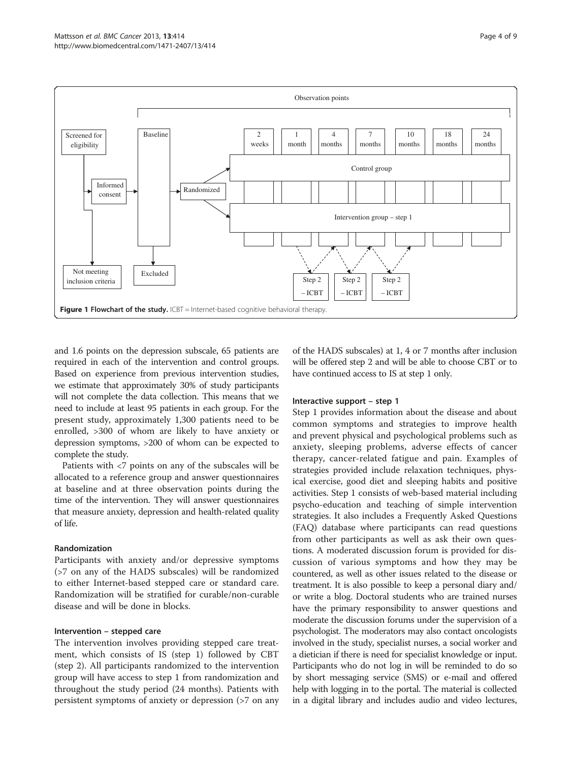<span id="page-3-0"></span>

and 1.6 points on the depression subscale, 65 patients are required in each of the intervention and control groups. Based on experience from previous intervention studies, we estimate that approximately 30% of study participants will not complete the data collection. This means that we need to include at least 95 patients in each group. For the present study, approximately 1,300 patients need to be enrolled, >300 of whom are likely to have anxiety or depression symptoms, >200 of whom can be expected to complete the study.

Patients with <7 points on any of the subscales will be allocated to a reference group and answer questionnaires at baseline and at three observation points during the time of the intervention. They will answer questionnaires that measure anxiety, depression and health-related quality of life.

## Randomization

Participants with anxiety and/or depressive symptoms (>7 on any of the HADS subscales) will be randomized to either Internet-based stepped care or standard care. Randomization will be stratified for curable/non-curable disease and will be done in blocks.

## Intervention – stepped care

The intervention involves providing stepped care treatment, which consists of IS (step 1) followed by CBT (step 2). All participants randomized to the intervention group will have access to step 1 from randomization and throughout the study period (24 months). Patients with persistent symptoms of anxiety or depression (>7 on any

of the HADS subscales) at 1, 4 or 7 months after inclusion will be offered step 2 and will be able to choose CBT or to have continued access to IS at step 1 only.

## Interactive support – step 1

Step 1 provides information about the disease and about common symptoms and strategies to improve health and prevent physical and psychological problems such as anxiety, sleeping problems, adverse effects of cancer therapy, cancer-related fatigue and pain. Examples of strategies provided include relaxation techniques, physical exercise, good diet and sleeping habits and positive activities. Step 1 consists of web-based material including psycho-education and teaching of simple intervention strategies. It also includes a Frequently Asked Questions (FAQ) database where participants can read questions from other participants as well as ask their own questions. A moderated discussion forum is provided for discussion of various symptoms and how they may be countered, as well as other issues related to the disease or treatment. It is also possible to keep a personal diary and/ or write a blog. Doctoral students who are trained nurses have the primary responsibility to answer questions and moderate the discussion forums under the supervision of a psychologist. The moderators may also contact oncologists involved in the study, specialist nurses, a social worker and a dietician if there is need for specialist knowledge or input. Participants who do not log in will be reminded to do so by short messaging service (SMS) or e-mail and offered help with logging in to the portal. The material is collected in a digital library and includes audio and video lectures,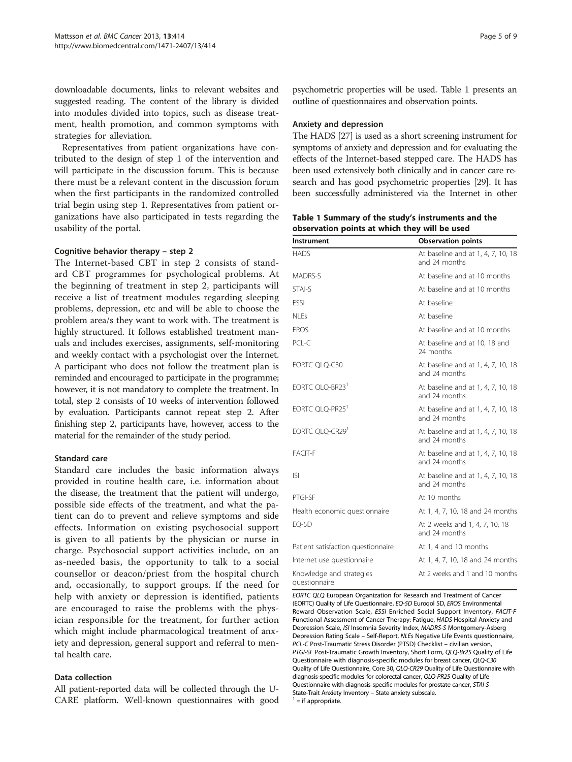<span id="page-4-0"></span>downloadable documents, links to relevant websites and suggested reading. The content of the library is divided into modules divided into topics, such as disease treatment, health promotion, and common symptoms with strategies for alleviation.

Representatives from patient organizations have contributed to the design of step 1 of the intervention and will participate in the discussion forum. This is because there must be a relevant content in the discussion forum when the first participants in the randomized controlled trial begin using step 1. Representatives from patient organizations have also participated in tests regarding the usability of the portal.

## Cognitive behavior therapy – step 2

The Internet-based CBT in step 2 consists of standard CBT programmes for psychological problems. At the beginning of treatment in step 2, participants will receive a list of treatment modules regarding sleeping problems, depression, etc and will be able to choose the problem area/s they want to work with. The treatment is highly structured. It follows established treatment manuals and includes exercises, assignments, self-monitoring and weekly contact with a psychologist over the Internet. A participant who does not follow the treatment plan is reminded and encouraged to participate in the programme; however, it is not mandatory to complete the treatment. In total, step 2 consists of 10 weeks of intervention followed by evaluation. Participants cannot repeat step 2. After finishing step 2, participants have, however, access to the material for the remainder of the study period.

## Standard care

Standard care includes the basic information always provided in routine health care, i.e. information about the disease, the treatment that the patient will undergo, possible side effects of the treatment, and what the patient can do to prevent and relieve symptoms and side effects. Information on existing psychosocial support is given to all patients by the physician or nurse in charge. Psychosocial support activities include, on an as-needed basis, the opportunity to talk to a social counsellor or deacon/priest from the hospital church and, occasionally, to support groups. If the need for help with anxiety or depression is identified, patients are encouraged to raise the problems with the physician responsible for the treatment, for further action which might include pharmacological treatment of anxiety and depression, general support and referral to mental health care.

## Data collection

All patient-reported data will be collected through the U-CARE platform. Well-known questionnaires with good psychometric properties will be used. Table 1 presents an outline of questionnaires and observation points.

#### Anxiety and depression

The HADS [\[27\]](#page-8-0) is used as a short screening instrument for symptoms of anxiety and depression and for evaluating the effects of the Internet-based stepped care. The HADS has been used extensively both clinically and in cancer care research and has good psychometric properties [[29](#page-8-0)]. It has been successfully administered via the Internet in other

Table 1 Summary of the study's instruments and the observation points at which they will be used

| Instrument                                | <b>Observation points</b>                           |
|-------------------------------------------|-----------------------------------------------------|
| <b>HADS</b>                               | At baseline and at 1, 4, 7, 10, 18<br>and 24 months |
| MADRS-S                                   | At baseline and at 10 months                        |
| STAI-S                                    | At baseline and at 10 months                        |
| <b>FSSI</b>                               | At baseline                                         |
| NI Fs                                     | At baseline                                         |
| <b>EROS</b>                               | At baseline and at 10 months                        |
| PCL-C                                     | At baseline and at 10, 18 and<br>24 months          |
| EORTC QLQ-C30                             | At baseline and at 1, 4, 7, 10, 18<br>and 24 months |
| EORTC QLQ-BR23 <sup>1</sup>               | At baseline and at 1, 4, 7, 10, 18<br>and 24 months |
| EORTC QLQ-PR25 <sup>1</sup>               | At baseline and at 1, 4, 7, 10, 18<br>and 24 months |
| EORTC QLQ-CR29                            | At baseline and at 1, 4, 7, 10, 18<br>and 24 months |
| FACIT-F                                   | At baseline and at 1, 4, 7, 10, 18<br>and 24 months |
| <b>ISI</b>                                | At baseline and at 1, 4, 7, 10, 18<br>and 24 months |
| PTGI-SF                                   | At 10 months                                        |
| Health economic questionnaire             | At 1, 4, 7, 10, 18 and 24 months                    |
| EQ-5D                                     | At 2 weeks and 1, 4, 7, 10, 18<br>and 24 months     |
| Patient satisfaction questionnaire        | At 1, 4 and 10 months                               |
| Internet use questionnaire                | At 1, 4, 7, 10, 18 and 24 months                    |
| Knowledge and strategies<br>questionnaire | At 2 weeks and 1 and 10 months                      |

EORTC QLQ European Organization for Research and Treatment of Cancer (EORTC) Quality of Life Questionnaire, EQ-5D Euroqol 5D, EROS Environmental Reward Observation Scale, ESSI Enriched Social Support Inventory, FACIT-F Functional Assessment of Cancer Therapy: Fatigue, HADS Hospital Anxiety and Depression Scale, ISI Insomnia Severity Index, MADRS-S Montgomery-Åsberg Depression Rating Scale – Self-Report, NLEs Negative Life Events questionnaire, PCL-C Post-Traumatic Stress Disorder (PTSD) Checklist – civilian version, PTGI-SF Post-Traumatic Growth Inventory, Short Form, QLQ-Br25 Quality of Life Questionnaire with diagnosis-specific modules for breast cancer, QLQ-C30 Quality of Life Questionnaire, Core 30, QLQ-CR29 Quality of Life Questionnaire with diagnosis-specific modules for colorectal cancer, QLQ-PR25 Quality of Life Questionnaire with diagnosis-specific modules for prostate cancer, STAI-S State-Trait Anxiety Inventory – State anxiety subscale.<br> $1 =$  if appropriate.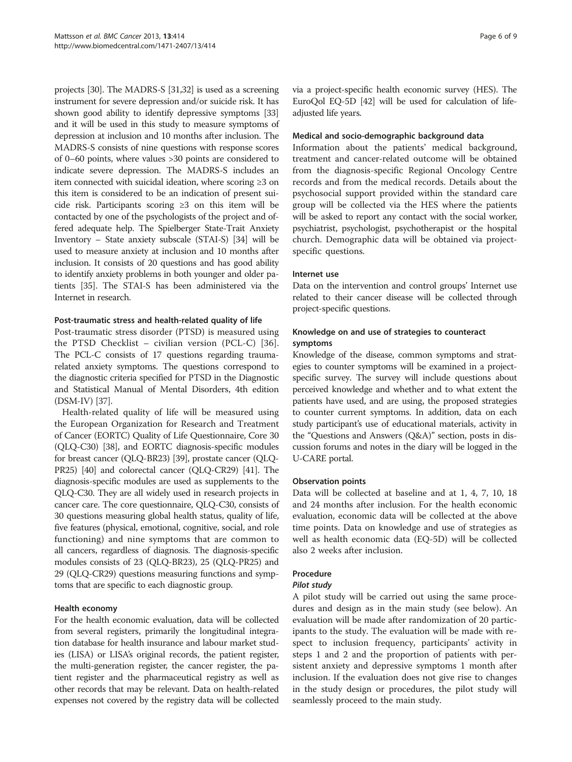projects [[30](#page-8-0)]. The MADRS-S [\[31,32\]](#page-8-0) is used as a screening instrument for severe depression and/or suicide risk. It has shown good ability to identify depressive symptoms [[33](#page-8-0)] and it will be used in this study to measure symptoms of depression at inclusion and 10 months after inclusion. The MADRS-S consists of nine questions with response scores of 0–60 points, where values >30 points are considered to indicate severe depression. The MADRS-S includes an item connected with suicidal ideation, where scoring ≥3 on this item is considered to be an indication of present suicide risk. Participants scoring ≥3 on this item will be contacted by one of the psychologists of the project and offered adequate help. The Spielberger State-Trait Anxiety Inventory – State anxiety subscale (STAI-S) [[34](#page-8-0)] will be used to measure anxiety at inclusion and 10 months after inclusion. It consists of 20 questions and has good ability to identify anxiety problems in both younger and older patients [[35](#page-8-0)]. The STAI-S has been administered via the Internet in research.

## Post-traumatic stress and health-related quality of life

Post-traumatic stress disorder (PTSD) is measured using the PTSD Checklist – civilian version (PCL-C) [[36](#page-8-0)]. The PCL-C consists of 17 questions regarding traumarelated anxiety symptoms. The questions correspond to the diagnostic criteria specified for PTSD in the Diagnostic and Statistical Manual of Mental Disorders, 4th edition (DSM-IV) [[37](#page-8-0)].

Health-related quality of life will be measured using the European Organization for Research and Treatment of Cancer (EORTC) Quality of Life Questionnaire, Core 30 (QLQ-C30) [\[38\]](#page-8-0), and EORTC diagnosis-specific modules for breast cancer (QLQ-BR23) [[39](#page-8-0)], prostate cancer (QLQ-PR25) [[40](#page-8-0)] and colorectal cancer (QLQ-CR29) [[41](#page-8-0)]. The diagnosis-specific modules are used as supplements to the QLQ-C30. They are all widely used in research projects in cancer care. The core questionnaire, QLQ-C30, consists of 30 questions measuring global health status, quality of life, five features (physical, emotional, cognitive, social, and role functioning) and nine symptoms that are common to all cancers, regardless of diagnosis. The diagnosis-specific modules consists of 23 (QLQ-BR23), 25 (QLQ-PR25) and 29 (QLQ-CR29) questions measuring functions and symptoms that are specific to each diagnostic group.

## Health economy

For the health economic evaluation, data will be collected from several registers, primarily the longitudinal integration database for health insurance and labour market studies (LISA) or LISA's original records, the patient register, the multi-generation register, the cancer register, the patient register and the pharmaceutical registry as well as other records that may be relevant. Data on health-related expenses not covered by the registry data will be collected via a project-specific health economic survey (HES). The EuroQol EQ-5D [\[42\]](#page-8-0) will be used for calculation of lifeadjusted life years.

## Medical and socio-demographic background data

Information about the patients' medical background, treatment and cancer-related outcome will be obtained from the diagnosis-specific Regional Oncology Centre records and from the medical records. Details about the psychosocial support provided within the standard care group will be collected via the HES where the patients will be asked to report any contact with the social worker, psychiatrist, psychologist, psychotherapist or the hospital church. Demographic data will be obtained via projectspecific questions.

## Internet use

Data on the intervention and control groups' Internet use related to their cancer disease will be collected through project-specific questions.

## Knowledge on and use of strategies to counteract symptoms

Knowledge of the disease, common symptoms and strategies to counter symptoms will be examined in a projectspecific survey. The survey will include questions about perceived knowledge and whether and to what extent the patients have used, and are using, the proposed strategies to counter current symptoms. In addition, data on each study participant's use of educational materials, activity in the "Questions and Answers (Q&A)" section, posts in discussion forums and notes in the diary will be logged in the U-CARE portal.

## Observation points

Data will be collected at baseline and at 1, 4, 7, 10, 18 and 24 months after inclusion. For the health economic evaluation, economic data will be collected at the above time points. Data on knowledge and use of strategies as well as health economic data (EQ-5D) will be collected also 2 weeks after inclusion.

## Procedure

## Pilot study

A pilot study will be carried out using the same procedures and design as in the main study (see below). An evaluation will be made after randomization of 20 participants to the study. The evaluation will be made with respect to inclusion frequency, participants' activity in steps 1 and 2 and the proportion of patients with persistent anxiety and depressive symptoms 1 month after inclusion. If the evaluation does not give rise to changes in the study design or procedures, the pilot study will seamlessly proceed to the main study.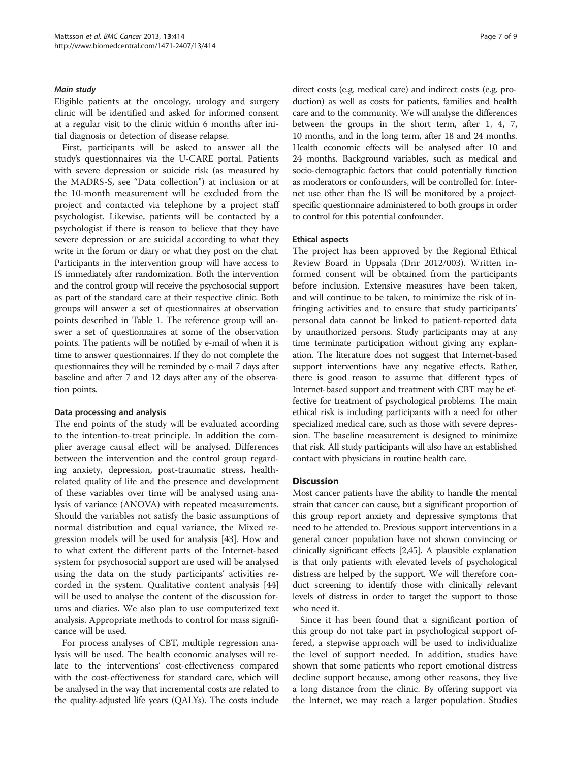## Main study

Eligible patients at the oncology, urology and surgery clinic will be identified and asked for informed consent at a regular visit to the clinic within 6 months after initial diagnosis or detection of disease relapse.

First, participants will be asked to answer all the study's questionnaires via the U-CARE portal. Patients with severe depression or suicide risk (as measured by the MADRS-S, see "[Data collection](#page-4-0)") at inclusion or at the 10-month measurement will be excluded from the project and contacted via telephone by a project staff psychologist. Likewise, patients will be contacted by a psychologist if there is reason to believe that they have severe depression or are suicidal according to what they write in the forum or diary or what they post on the chat. Participants in the intervention group will have access to IS immediately after randomization. Both the intervention and the control group will receive the psychosocial support as part of the standard care at their respective clinic. Both groups will answer a set of questionnaires at observation points described in Table [1](#page-4-0). The reference group will answer a set of questionnaires at some of the observation points. The patients will be notified by e-mail of when it is time to answer questionnaires. If they do not complete the questionnaires they will be reminded by e-mail 7 days after baseline and after 7 and 12 days after any of the observation points.

#### Data processing and analysis

The end points of the study will be evaluated according to the intention-to-treat principle. In addition the complier average causal effect will be analysed. Differences between the intervention and the control group regarding anxiety, depression, post-traumatic stress, healthrelated quality of life and the presence and development of these variables over time will be analysed using analysis of variance (ANOVA) with repeated measurements. Should the variables not satisfy the basic assumptions of normal distribution and equal variance, the Mixed regression models will be used for analysis [[43](#page-8-0)]. How and to what extent the different parts of the Internet-based system for psychosocial support are used will be analysed using the data on the study participants' activities recorded in the system. Qualitative content analysis [[44](#page-8-0)] will be used to analyse the content of the discussion forums and diaries. We also plan to use computerized text analysis. Appropriate methods to control for mass significance will be used.

For process analyses of CBT, multiple regression analysis will be used. The health economic analyses will relate to the interventions' cost-effectiveness compared with the cost-effectiveness for standard care, which will be analysed in the way that incremental costs are related to the quality-adjusted life years (QALYs). The costs include direct costs (e.g. medical care) and indirect costs (e.g. production) as well as costs for patients, families and health care and to the community. We will analyse the differences between the groups in the short term, after 1, 4, 7, 10 months, and in the long term, after 18 and 24 months. Health economic effects will be analysed after 10 and 24 months. Background variables, such as medical and socio-demographic factors that could potentially function as moderators or confounders, will be controlled for. Internet use other than the IS will be monitored by a projectspecific questionnaire administered to both groups in order to control for this potential confounder.

#### Ethical aspects

The project has been approved by the Regional Ethical Review Board in Uppsala (Dnr 2012/003). Written informed consent will be obtained from the participants before inclusion. Extensive measures have been taken, and will continue to be taken, to minimize the risk of infringing activities and to ensure that study participants' personal data cannot be linked to patient-reported data by unauthorized persons. Study participants may at any time terminate participation without giving any explanation. The literature does not suggest that Internet-based support interventions have any negative effects. Rather, there is good reason to assume that different types of Internet-based support and treatment with CBT may be effective for treatment of psychological problems. The main ethical risk is including participants with a need for other specialized medical care, such as those with severe depression. The baseline measurement is designed to minimize that risk. All study participants will also have an established contact with physicians in routine health care.

## **Discussion**

Most cancer patients have the ability to handle the mental strain that cancer can cause, but a significant proportion of this group report anxiety and depressive symptoms that need to be attended to. Previous support interventions in a general cancer population have not shown convincing or clinically significant effects [[2](#page-7-0)[,45\]](#page-8-0). A plausible explanation is that only patients with elevated levels of psychological distress are helped by the support. We will therefore conduct screening to identify those with clinically relevant levels of distress in order to target the support to those who need it.

Since it has been found that a significant portion of this group do not take part in psychological support offered, a stepwise approach will be used to individualize the level of support needed. In addition, studies have shown that some patients who report emotional distress decline support because, among other reasons, they live a long distance from the clinic. By offering support via the Internet, we may reach a larger population. Studies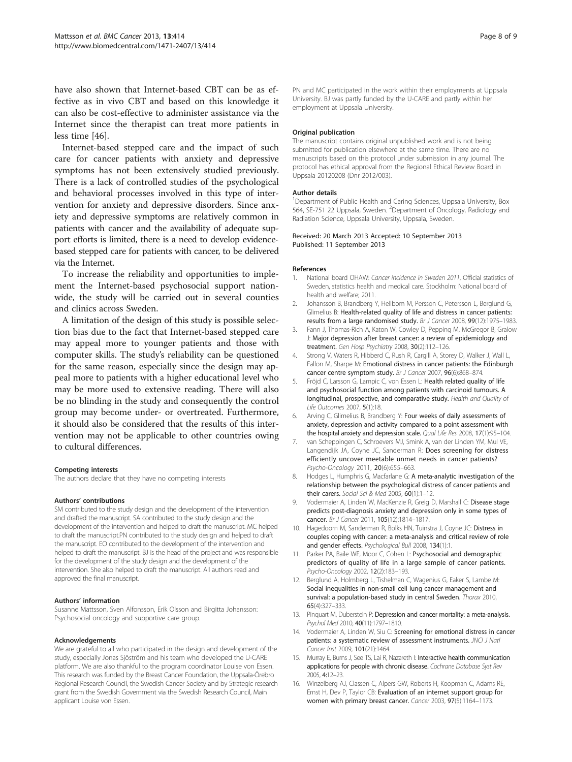<span id="page-7-0"></span>have also shown that Internet-based CBT can be as effective as in vivo CBT and based on this knowledge it can also be cost-effective to administer assistance via the Internet since the therapist can treat more patients in less time [[46](#page-8-0)].

Internet-based stepped care and the impact of such care for cancer patients with anxiety and depressive symptoms has not been extensively studied previously. There is a lack of controlled studies of the psychological and behavioral processes involved in this type of intervention for anxiety and depressive disorders. Since anxiety and depressive symptoms are relatively common in patients with cancer and the availability of adequate support efforts is limited, there is a need to develop evidencebased stepped care for patients with cancer, to be delivered via the Internet.

To increase the reliability and opportunities to implement the Internet-based psychosocial support nationwide, the study will be carried out in several counties and clinics across Sweden.

A limitation of the design of this study is possible selection bias due to the fact that Internet-based stepped care may appeal more to younger patients and those with computer skills. The study's reliability can be questioned for the same reason, especially since the design may appeal more to patients with a higher educational level who may be more used to extensive reading. There will also be no blinding in the study and consequently the control group may become under- or overtreated. Furthermore, it should also be considered that the results of this intervention may not be applicable to other countries owing to cultural differences.

#### Competing interests

The authors declare that they have no competing interests

#### Authors' contributions

SM contributed to the study design and the development of the intervention and drafted the manuscript. SA contributed to the study design and the development of the intervention and helped to draft the manuscript. MC helped to draft the manuscript.PN contributed to the study design and helped to draft the manuscript. EO contributed to the development of the intervention and helped to draft the manuscript. BJ is the head of the project and was responsible for the development of the study design and the development of the intervention. She also helped to draft the manuscript. All authors read and approved the final manuscript.

#### Authors' information

Susanne Mattsson, Sven Alfonsson, Erik Olsson and Birgitta Johansson: Psychosocial oncology and supportive care group.

#### Acknowledgements

We are grateful to all who participated in the design and development of the study, especially Jonas Sjöström and his team who developed the U-CARE platform. We are also thankful to the program coordinator Louise von Essen. This research was funded by the Breast Cancer Foundation, the Uppsala-Örebro Regional Research Council, the Swedish Cancer Society and by Strategic research grant from the Swedish Government via the Swedish Research Council, Main applicant Louise von Essen.

PN and MC participated in the work within their employments at Uppsala University. BJ was partly funded by the U-CARE and partly within her employment at Uppsala University.

#### Original publication

The manuscript contains original unpublished work and is not being submitted for publication elsewhere at the same time. There are no manuscripts based on this protocol under submission in any journal. The protocol has ethical approval from the Regional Ethical Review Board in Uppsala 20120208 (Dnr 2012/003).

#### Author details

<sup>1</sup>Department of Public Health and Caring Sciences, Uppsala University, Box 564, SE-751 22 Uppsala, Sweden. <sup>2</sup>Department of Oncology, Radiology and Radiation Science, Uppsala University, Uppsala, Sweden.

#### Received: 20 March 2013 Accepted: 10 September 2013 Published: 11 September 2013

#### References

- 1. National board OHAW: Cancer incidence in Sweden 2011, Official statistics of Sweden, statistics health and medical care. Stockholm: National board of health and welfare; 2011.
- 2. Johansson B, Brandberg Y, Hellbom M, Persson C, Petersson L, Berglund G, Glimelius B: Health-related quality of life and distress in cancer patients: results from a large randomised study. Br J Cancer 2008, 99(12):1975–1983.
- 3. Fann J, Thomas-Rich A, Katon W, Cowley D, Pepping M, McGregor B, Gralow J: Major depression after breast cancer: a review of epidemiology and treatment. Gen Hosp Psychiatry 2008, 30(2):112-126.
- 4. Strong V, Waters R, Hibberd C, Rush R, Cargill A, Storey D, Walker J, Wall L, Fallon M, Sharpe M: Emotional distress in cancer patients: the Edinburgh cancer centre symptom study. Br J Cancer 2007, 96(6):868-874.
- Fröjd C, Larsson G, Lampic C, von Essen L: Health related quality of life and psychosocial function among patients with carcinoid tumours. A longitudinal, prospective, and comparative study. Health and Quality of Life Outcomes 2007, 5(1):18.
- 6. Arving C, Glimelius B, Brandberg Y: Four weeks of daily assessments of anxiety, depression and activity compared to a point assessment with the hospital anxiety and depression scale. Qual Life Res 2008, 17(1):95-104.
- 7. van Scheppingen C, Schroevers MJ, Smink A, van der Linden YM, Mul VE, Langendijk JA, Coyne JC, Sanderman R: Does screening for distress efficiently uncover meetable unmet needs in cancer patients? Psycho-Oncology 2011, 20(6):655–663.
- 8. Hodges L, Humphris G, Macfarlane G: A meta-analytic investigation of the relationship between the psychological distress of cancer patients and their carers. Social Sci & Med 2005, 60(1):1-12.
- Vodermaier A, Linden W, MacKenzie R, Greig D, Marshall C: Disease stage predicts post-diagnosis anxiety and depression only in some types of cancer. Br J Cancer 2011, 105(12):1814–1817.
- 10. Hagedoorn M, Sanderman R, Bolks HN, Tuinstra J, Coyne JC: Distress in couples coping with cancer: a meta-analysis and critical review of role and gender effects. Psychological Bull 2008, 134(1):1.
- 11. Parker PA, Baile WF, Moor C, Cohen L: Psychosocial and demographic predictors of quality of life in a large sample of cancer patients. Psycho-Oncology 2002, 12(2):183–193.
- 12. Berglund A, Holmberg L, Tishelman C, Wagenius G, Eaker S, Lambe M: Social inequalities in non-small cell lung cancer management and survival: a population-based study in central Sweden. Thorax 2010, 65(4):327–333.
- 13. Pinquart M, Duberstein P: Depression and cancer mortality: a meta-analysis. Psychol Med 2010, 40(11):1797–1810.
- 14. Vodermaier A, Linden W, Siu C: Screening for emotional distress in cancer patients: a systematic review of assessment instruments. JNCI J Natl Cancer Inst 2009, 101(21):1464.
- 15. Murray E, Burns J, See TS, Lai R, Nazareth I: Interactive health communication applications for people with chronic disease. Cochrane Database Syst Rev 2005, 4:12–23.
- 16. Winzelberg AJ, Classen C, Alpers GW, Roberts H, Koopman C, Adams RE, Ernst H, Dev P, Taylor CB: Evaluation of an internet support group for women with primary breast cancer. Cancer 2003, 97(5):1164–1173.